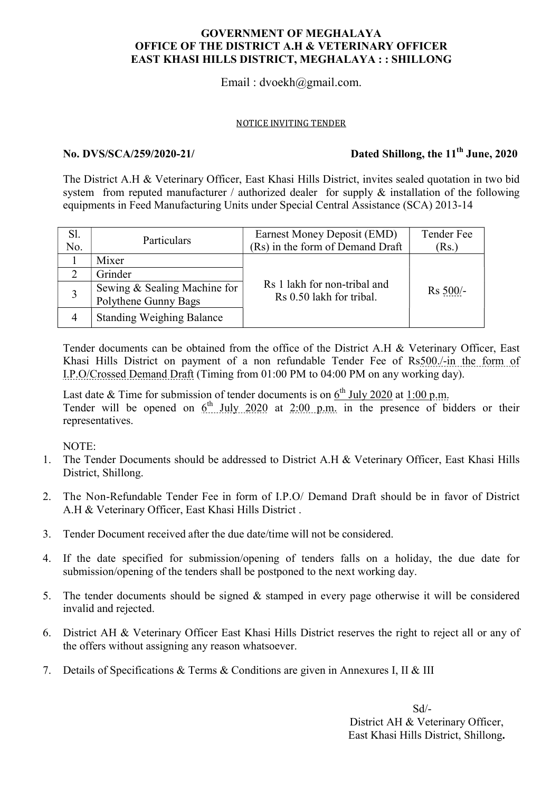### GOVERNMENT OF MEGHALAYA OFFICE OF THE DISTRICT A.H & VETERINARY OFFICER EAST KHASI HILLS DISTRICT, MEGHALAYA : : SHILLONG

# Email : dvoekh@gmail.com.

#### NOTICE INVITING TENDER

# No. DVS/SCA/259/2020-21/ Dated Shillong, the  $11<sup>th</sup>$  June, 2020

The District A.H & Veterinary Officer, East Khasi Hills District, invites sealed quotation in two bid system from reputed manufacturer / authorized dealer for supply & installation of the following equipments in Feed Manufacturing Units under Special Central Assistance (SCA) 2013-14

| Sl.<br>No. | Particulars                                          | Earnest Money Deposit (EMD)<br>(Rs) in the form of Demand Draft | Tender Fee<br>(Rs.) |  |
|------------|------------------------------------------------------|-----------------------------------------------------------------|---------------------|--|
|            | Mixer                                                |                                                                 | Rs 500/-            |  |
|            | Grinder                                              |                                                                 |                     |  |
|            | Sewing & Sealing Machine for<br>Polythene Gunny Bags | Rs 1 lakh for non-tribal and<br>Rs 0.50 lakh for tribal.        |                     |  |
| 4          | <b>Standing Weighing Balance</b>                     |                                                                 |                     |  |

Tender documents can be obtained from the office of the District A.H & Veterinary Officer, East Khasi Hills District on payment of a non refundable Tender Fee of Rs500./-in the form of I.P.O/Crossed Demand Draft (Timing from 01:00 PM to 04:00 PM on any working day).

Last date  $&$  Time for submission of tender documents is on  $6<sup>th</sup>$  July 2020 at 1:00 p.m. Tender will be opened on  $6<sup>th</sup>$  July 2020 at 2:00 p.m. in the presence of bidders or their representatives.

NOTE:

- 1. The Tender Documents should be addressed to District A.H & Veterinary Officer, East Khasi Hills District, Shillong.
- 2. The Non-Refundable Tender Fee in form of I.P.O/ Demand Draft should be in favor of District A.H & Veterinary Officer, East Khasi Hills District .
- 3. Tender Document received after the due date/time will not be considered.
- 4. If the date specified for submission/opening of tenders falls on a holiday, the due date for submission/opening of the tenders shall be postponed to the next working day.
- 5. The tender documents should be signed & stamped in every page otherwise it will be considered invalid and rejected.
- 6. District AH & Veterinary Officer East Khasi Hills District reserves the right to reject all or any of the offers without assigning any reason whatsoever.
- 7. Details of Specifications & Terms & Conditions are given in Annexures I, II & III

 Sd/- District AH & Veterinary Officer, East Khasi Hills District, Shillong.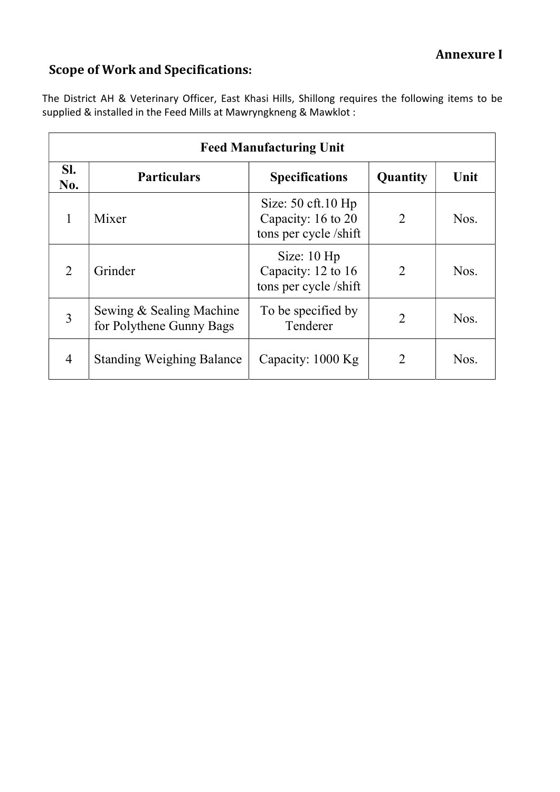# Scope of Work and Specifications:

The District AH & Veterinary Officer, East Khasi Hills, Shillong requires the following items to be supplied & installed in the Feed Mills at Mawryngkneng & Mawklot :

| <b>Feed Manufacturing Unit</b> |                                                      |                                                                        |                |      |  |  |
|--------------------------------|------------------------------------------------------|------------------------------------------------------------------------|----------------|------|--|--|
| SI.<br>No.                     | <b>Particulars</b>                                   | <b>Specifications</b>                                                  | Quantity       | Unit |  |  |
| 1                              | Mixer                                                | Size: $50$ cft. $10$ Hp<br>Capacity: 16 to 20<br>tons per cycle /shift | 2              | Nos. |  |  |
| $\overline{2}$                 | Grinder                                              | Size: $10$ Hp<br>Capacity: 12 to 16<br>tons per cycle /shift           | $\overline{2}$ | Nos. |  |  |
| 3                              | Sewing & Sealing Machine<br>for Polythene Gunny Bags | To be specified by<br>Tenderer                                         | $\overline{2}$ | Nos. |  |  |
| $\overline{4}$                 | <b>Standing Weighing Balance</b>                     | Capacity: 1000 Kg                                                      |                | Nos. |  |  |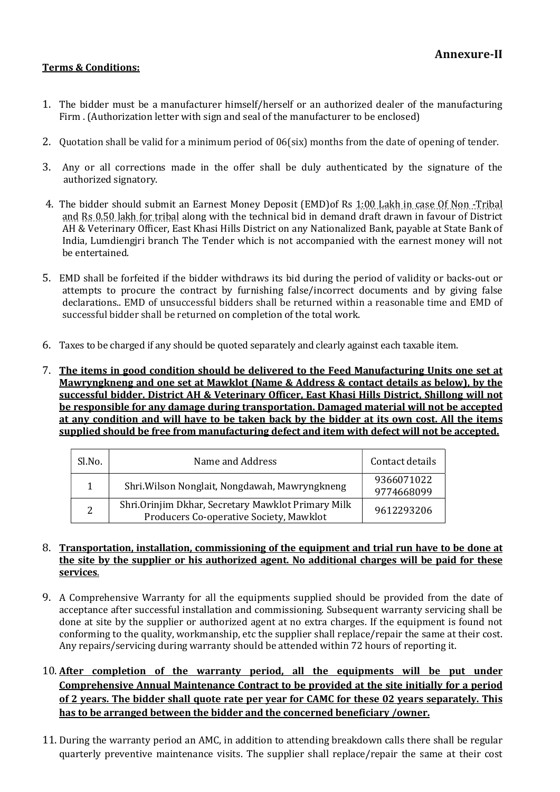### Terms & Conditions:

- 1. The bidder must be a manufacturer himself/herself or an authorized dealer of the manufacturing Firm . (Authorization letter with sign and seal of the manufacturer to be enclosed)
- 2. Quotation shall be valid for a minimum period of 06(six) months from the date of opening of tender.
- 3. Any or all corrections made in the offer shall be duly authenticated by the signature of the authorized signatory.
- 4. The bidder should submit an Earnest Money Deposit (EMD)of Rs 1:00 Lakh in case Of Non -Tribal and Rs 0.50 lakh for tribal along with the technical bid in demand draft drawn in favour of District AH & Veterinary Officer, East Khasi Hills District on any Nationalized Bank, payable at State Bank of India, Lumdiengjri branch The Tender which is not accompanied with the earnest money will not be entertained.
- 5. EMD shall be forfeited if the bidder withdraws its bid during the period of validity or backs-out or attempts to procure the contract by furnishing false/incorrect documents and by giving false declarations.. EMD of unsuccessful bidders shall be returned within a reasonable time and EMD of successful bidder shall be returned on completion of the total work.
- 6. Taxes to be charged if any should be quoted separately and clearly against each taxable item.
- 7. The items in good condition should be delivered to the Feed Manufacturing Units one set at Mawryngkneng and one set at Mawklot (Name & Address & contact details as below), by the successful bidder. District AH & Veterinary Officer, East Khasi Hills District, Shillong will not be responsible for any damage during transportation. Damaged material will not be accepted at any condition and will have to be taken back by the bidder at its own cost. All the items supplied should be free from manufacturing defect and item with defect will not be accepted.

| Sl.No. | Name and Address                                                                              | Contact details          |  |
|--------|-----------------------------------------------------------------------------------------------|--------------------------|--|
|        | Shri. Wilson Nonglait, Nongdawah, Mawryngkneng                                                | 9366071022<br>9774668099 |  |
| 2      | Shri.Orinjim Dkhar, Secretary Mawklot Primary Milk<br>Producers Co-operative Society, Mawklot | 9612293206               |  |

#### 8. Transportation, installation, commissioning of the equipment and trial run have to be done at the site by the supplier or his authorized agent. No additional charges will be paid for these services.

- 9. A Comprehensive Warranty for all the equipments supplied should be provided from the date of acceptance after successful installation and commissioning. Subsequent warranty servicing shall be done at site by the supplier or authorized agent at no extra charges. If the equipment is found not conforming to the quality, workmanship, etc the supplier shall replace/repair the same at their cost. Any repairs/servicing during warranty should be attended within 72 hours of reporting it.
- 10. After completion of the warranty period, all the equipments will be put under Comprehensive Annual Maintenance Contract to be provided at the site initially for a period of 2 years. The bidder shall quote rate per year for CAMC for these 02 years separately. This has to be arranged between the bidder and the concerned beneficiary /owner.
- 11. During the warranty period an AMC, in addition to attending breakdown calls there shall be regular quarterly preventive maintenance visits. The supplier shall replace/repair the same at their cost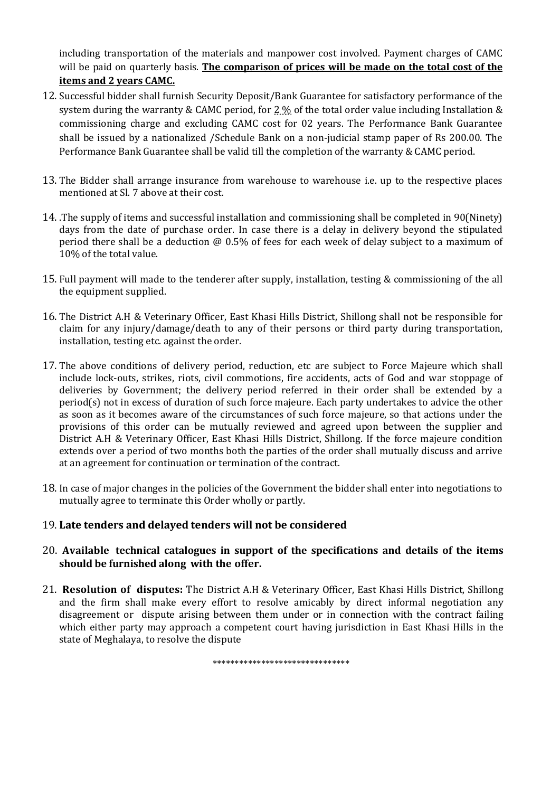including transportation of the materials and manpower cost involved. Payment charges of CAMC will be paid on quarterly basis. The comparison of prices will be made on the total cost of the items and 2 years CAMC.

- 12. Successful bidder shall furnish Security Deposit/Bank Guarantee for satisfactory performance of the system during the warranty & CAMC period, for 2 % of the total order value including Installation & commissioning charge and excluding CAMC cost for 02 years. The Performance Bank Guarantee shall be issued by a nationalized /Schedule Bank on a non-judicial stamp paper of Rs 200.00. The Performance Bank Guarantee shall be valid till the completion of the warranty & CAMC period.
- 13. The Bidder shall arrange insurance from warehouse to warehouse i.e. up to the respective places mentioned at Sl. 7 above at their cost.
- 14. .The supply of items and successful installation and commissioning shall be completed in 90(Ninety) days from the date of purchase order. In case there is a delay in delivery beyond the stipulated period there shall be a deduction @ 0.5% of fees for each week of delay subject to a maximum of 10% of the total value.
- 15. Full payment will made to the tenderer after supply, installation, testing & commissioning of the all the equipment supplied.
- 16. The District A.H & Veterinary Officer, East Khasi Hills District, Shillong shall not be responsible for claim for any injury/damage/death to any of their persons or third party during transportation, installation, testing etc. against the order.
- 17. The above conditions of delivery period, reduction, etc are subject to Force Majeure which shall include lock-outs, strikes, riots, civil commotions, fire accidents, acts of God and war stoppage of deliveries by Government; the delivery period referred in their order shall be extended by a period(s) not in excess of duration of such force majeure. Each party undertakes to advice the other as soon as it becomes aware of the circumstances of such force majeure, so that actions under the provisions of this order can be mutually reviewed and agreed upon between the supplier and District A.H & Veterinary Officer, East Khasi Hills District, Shillong. If the force majeure condition extends over a period of two months both the parties of the order shall mutually discuss and arrive at an agreement for continuation or termination of the contract.
- 18. In case of major changes in the policies of the Government the bidder shall enter into negotiations to mutually agree to terminate this Order wholly or partly.

# 19. Late tenders and delayed tenders will not be considered

### 20. Available technical catalogues in support of the specifications and details of the items should be furnished along with the offer.

21. Resolution of disputes: The District A.H & Veterinary Officer, East Khasi Hills District, Shillong and the firm shall make every effort to resolve amicably by direct informal negotiation any disagreement or dispute arising between them under or in connection with the contract failing which either party may approach a competent court having jurisdiction in East Khasi Hills in the state of Meghalaya, to resolve the dispute

\*\*\*\*\*\*\*\*\*\*\*\*\*\*\*\*\*\*\*\*\*\*\*\*\*\*\*\*\*\*\*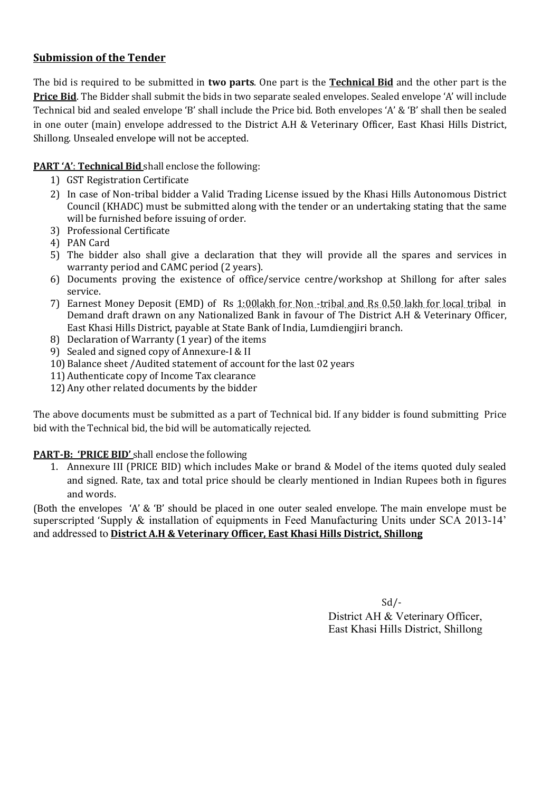# Submission of the Tender

The bid is required to be submitted in two parts. One part is the **Technical Bid** and the other part is the **Price Bid.** The Bidder shall submit the bids in two separate sealed envelopes. Sealed envelope 'A' will include Technical bid and sealed envelope 'B' shall include the Price bid. Both envelopes 'A' & 'B' shall then be sealed in one outer (main) envelope addressed to the District A.H & Veterinary Officer, East Khasi Hills District, Shillong. Unsealed envelope will not be accepted.

PART 'A': Technical Bid shall enclose the following:

- 1) GST Registration Certificate
- 2) In case of Non-tribal bidder a Valid Trading License issued by the Khasi Hills Autonomous District Council (KHADC) must be submitted along with the tender or an undertaking stating that the same will be furnished before issuing of order.
- 3) Professional Certificate
- 4) PAN Card
- 5) The bidder also shall give a declaration that they will provide all the spares and services in warranty period and CAMC period (2 years).
- 6) Documents proving the existence of office/service centre/workshop at Shillong for after sales service.
- 7) Earnest Money Deposit (EMD) of Rs 1:00lakh for Non -tribal and Rs 0.50 lakh for local tribal in Demand draft drawn on any Nationalized Bank in favour of The District A.H & Veterinary Officer, East Khasi Hills District, payable at State Bank of India, Lumdiengjiri branch.
- 8) Declaration of Warranty (1 year) of the items
- 9) Sealed and signed copy of Annexure-I & II
- 10)Balance sheet /Audited statement of account for the last 02 years
- 11)Authenticate copy of Income Tax clearance
- 12)Any other related documents by the bidder

The above documents must be submitted as a part of Technical bid. If any bidder is found submitting Price bid with the Technical bid, the bid will be automatically rejected.

# PART-B: 'PRICE BID' shall enclose the following

1. Annexure III (PRICE BID) which includes Make or brand & Model of the items quoted duly sealed and signed. Rate, tax and total price should be clearly mentioned in Indian Rupees both in figures and words.

(Both the envelopes 'A' & 'B' should be placed in one outer sealed envelope. The main envelope must be superscripted 'Supply & installation of equipments in Feed Manufacturing Units under SCA 2013-14' and addressed to District A.H & Veterinary Officer, East Khasi Hills District, Shillong

> Sd/- District AH & Veterinary Officer, East Khasi Hills District, Shillong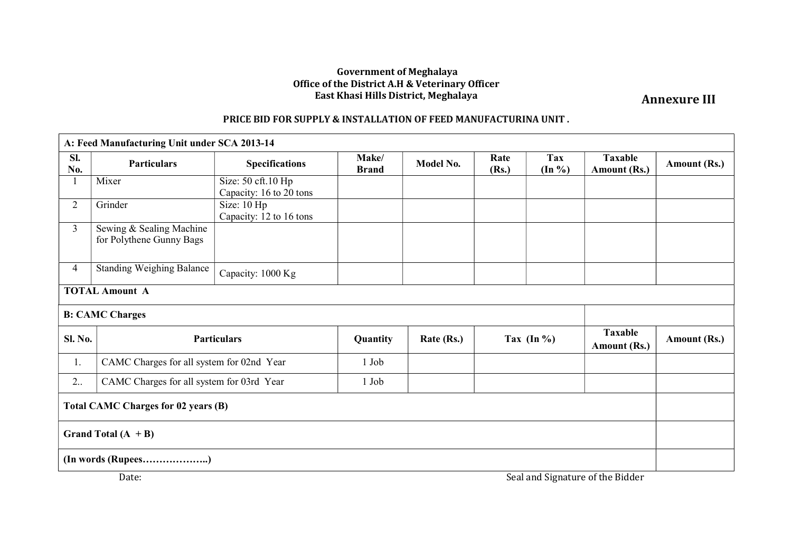#### Government of Meghalaya Office of the District A.H & Veterinary Officer East Khasi Hills District, Meghalaya

Annexure III

## PRICE BID FOR SUPPLY & INSTALLATION OF FEED MANUFACTURINA UNIT .

| A: Feed Manufacturing Unit under SCA 2013-14 |                                                      |                                               |                       |            |               |                         |                                |              |
|----------------------------------------------|------------------------------------------------------|-----------------------------------------------|-----------------------|------------|---------------|-------------------------|--------------------------------|--------------|
| Sl.<br>No.                                   | <b>Particulars</b>                                   | <b>Specifications</b>                         | Make/<br><b>Brand</b> | Model No.  | Rate<br>(Rs.) | <b>Tax</b><br>$(In \%)$ | <b>Taxable</b><br>Amount (Rs.) | Amount (Rs.) |
|                                              | Mixer                                                | Size: 50 cft.10 Hp<br>Capacity: 16 to 20 tons |                       |            |               |                         |                                |              |
| $\overline{2}$                               | Grinder                                              | Size: 10 Hp<br>Capacity: 12 to 16 tons        |                       |            |               |                         |                                |              |
| $\overline{3}$                               | Sewing & Sealing Machine<br>for Polythene Gunny Bags |                                               |                       |            |               |                         |                                |              |
| $\overline{4}$                               | <b>Standing Weighing Balance</b>                     | Capacity: 1000 Kg                             |                       |            |               |                         |                                |              |
| <b>TOTAL Amount A</b>                        |                                                      |                                               |                       |            |               |                         |                                |              |
| <b>B: CAMC Charges</b>                       |                                                      |                                               |                       |            |               |                         |                                |              |
| <b>Sl. No.</b>                               | <b>Particulars</b>                                   |                                               | Quantity              | Rate (Rs.) | Tax $(In \%)$ |                         | <b>Taxable</b><br>Amount (Rs.) | Amount (Rs.) |
| 1.                                           |                                                      | CAMC Charges for all system for 02nd Year     |                       |            |               |                         |                                |              |
| 2                                            | CAMC Charges for all system for 03rd Year            |                                               | 1 Job                 |            |               |                         |                                |              |
| <b>Total CAMC Charges for 02 years (B)</b>   |                                                      |                                               |                       |            |               |                         |                                |              |
| Grand Total $(A + B)$                        |                                                      |                                               |                       |            |               |                         |                                |              |
| (In words (Rupees)                           |                                                      |                                               |                       |            |               |                         |                                |              |
| Seal and Signature of the Bidder<br>Date:    |                                                      |                                               |                       |            |               |                         |                                |              |